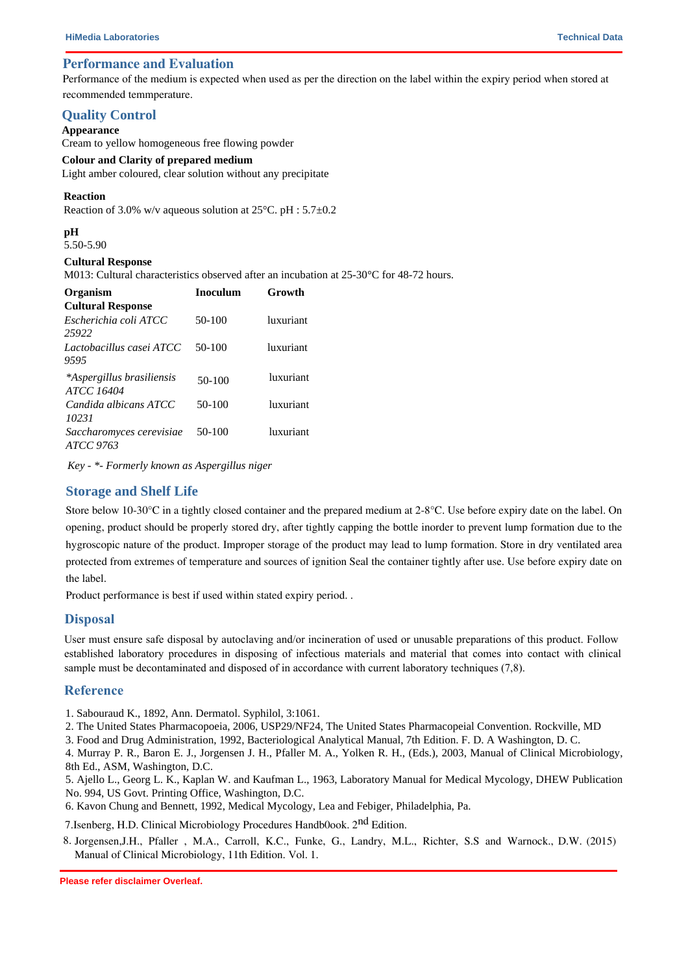# **Performance and Evaluation**

Performance of the medium is expected when used as per the direction on the label within the expiry period when stored at recommended temmperature.

### **Quality Control**

#### **Appearance**

Cream to yellow homogeneous free flowing powder

## **Colour and Clarity of prepared medium**

Light amber coloured, clear solution without any precipitate

#### **Reaction**

Reaction of 3.0% w/v aqueous solution at  $25^{\circ}$ C. pH :  $5.7\pm0.2$ 

#### **pH**

5.50-5.90

### **Cultural Response**

M013: Cultural characteristics observed after an incubation at 25-30°C for 48-72 hours.

| <b>Organism</b>                                | <b>Inoculum</b> | Growth    |
|------------------------------------------------|-----------------|-----------|
| <b>Cultural Response</b>                       |                 |           |
| Escherichia coli ATCC<br>25922                 | $50-100$        | luxuriant |
| Lactobacillus casei ATCC<br>9595               | 50-100          | luxuriant |
| *Aspergillus brasiliensis<br><b>ATCC 16404</b> | $50-100$        | luxuriant |
| Candida albicans ATCC<br>10231                 | 50-100          | luxuriant |
| Saccharomyces cerevisiae<br>ATCC 9763          | 50-100          | luxuriant |

*Key - \*- Formerly known as Aspergillus niger*

## **Storage and Shelf Life**

Store below 10-30°C in a tightly closed container and the prepared medium at 2-8°C. Use before expiry date on the label. On opening, product should be properly stored dry, after tightly capping the bottle inorder to prevent lump formation due to the hygroscopic nature of the product. Improper storage of the product may lead to lump formation. Store in dry ventilated area protected from extremes of temperature and sources of ignition Seal the container tightly after use. Use before expiry date on the label.

Product performance is best if used within stated expiry period. .

### **Disposal**

User must ensure safe disposal by autoclaving and/or incineration of used or unusable preparations of this product. Follow established laboratory procedures in disposing of infectious materials and material that comes into contact with clinical sample must be decontaminated and disposed of in accordance with current laboratory techniques (7,8).

### **Reference**

1. Sabouraud K., 1892, Ann. Dermatol. Syphilol, 3:1061.

2. The United States Pharmacopoeia, 2006, USP29/NF24, The United States Pharmacopeial Convention. Rockville, MD

3. Food and Drug Administration, 1992, Bacteriological Analytical Manual, 7th Edition. F. D. A Washington, D. C.

4. Murray P. R., Baron E. J., Jorgensen J. H., Pfaller M. A., Yolken R. H., (Eds.), 2003, Manual of Clinical Microbiology, 8th Ed., ASM, Washington, D.C.

5. Ajello L., Georg L. K., Kaplan W. and Kaufman L., 1963, Laboratory Manual for Medical Mycology, DHEW Publication No. 994, US Govt. Printing Office, Washington, D.C.

6. Kavon Chung and Bennett, 1992, Medical Mycology, Lea and Febiger, Philadelphia, Pa.

7. Isenberg, H.D. Clinical Microbiology Procedures Handb0ook. 2<sup>nd</sup> Edition.

8. Jorgensen,J.H., Pfaller , M.A., Carroll, K.C., Funke, G., Landry, M.L., Richter, S.S and Warnock., D.W. (2015) Manual of Clinical Microbiology, 11th Edition. Vol. 1.

**Please refer disclaimer Overleaf.**